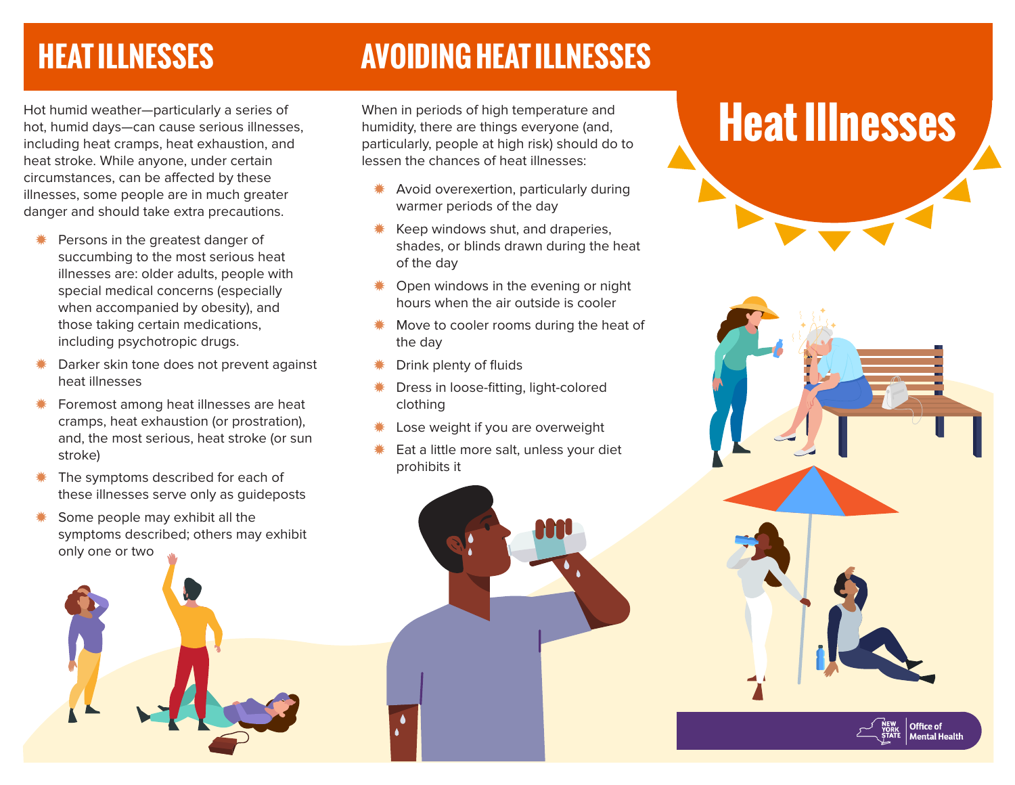## **HEAT ILLNESSES**

#### **AVOIDING HEAT ILLNESSES**

Hot humid weather—particularly a series of hot, humid days—can cause serious illnesses, including heat cramps, heat exhaustion, and heat stroke. While anyone, under certain circumstances, can be affected by these illnesses, some people are in much greater danger and should take extra precautions.

- Persons in the greatest danger of succumbing to the most serious heat illnesses are: older adults, people with special medical concerns (especially when accompanied by obesity), and those taking certain medications, including psychotropic drugs.
- < Darker skin tone does not prevent against heat illnesses
- < Foremost among heat illnesses are heat cramps, heat exhaustion (or prostration), and, the most serious, heat stroke (or sun stroke)
- The symptoms described for each of these illnesses serve only as guideposts
- Some people may exhibit all the symptoms described; others may exhibit only one or two



When in periods of high temperature and humidity, there are things everyone (and, particularly, people at high risk) should do to lessen the chances of heat illnesses:

- < Avoid overexertion, particularly during warmer periods of the day
- < Keep windows shut, and draperies, shades, or blinds drawn during the heat of the day
- < Open windows in the evening or night hours when the air outside is cooler
- Move to cooler rooms during the heat of the day
- < Drink plenty of fluids
- < Dress in loose-fitting, light-colored clothing
- Lose weight if you are overweight
- Eat a little more salt, unless your diet prohibits it

# **Heat Illnesses**

Office of<br>Mental Healtl